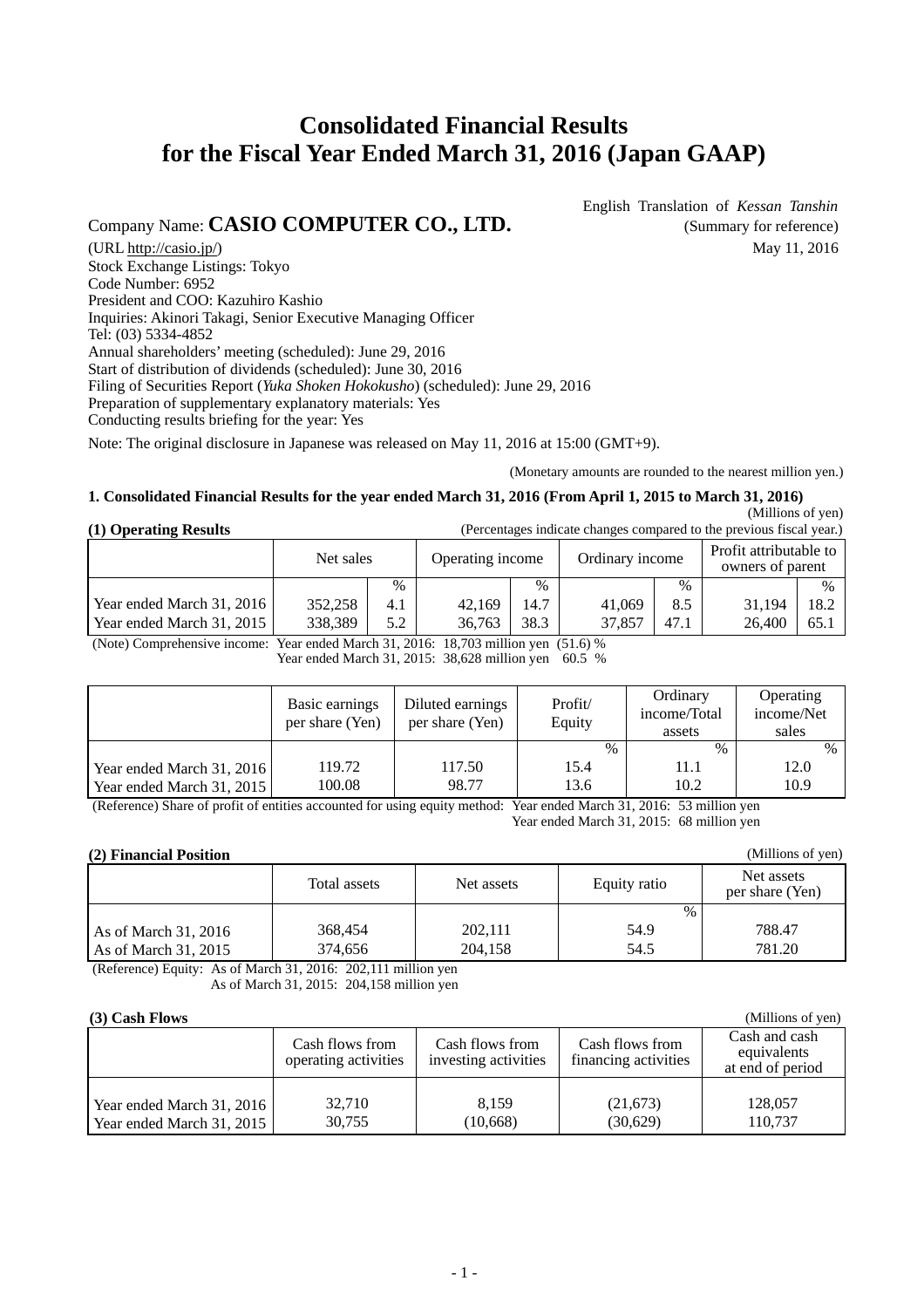# **Consolidated Financial Results for the Fiscal Year Ended March 31, 2016 (Japan GAAP)**

# Company Name: **CASIO COMPUTER CO., LTD.** (Summary for reference)

English Translation of *Kessan Tanshin*

 $(URL <http://casio.jp/>)$  May 11, 2016 Stock Exchange Listings: Tokyo Code Number: 6952 President and COO: Kazuhiro Kashio Inquiries: Akinori Takagi, Senior Executive Managing Officer Tel: (03) 5334-4852 Annual shareholders' meeting (scheduled): June 29, 2016 Start of distribution of dividends (scheduled): June 30, 2016 Filing of Securities Report (*Yuka Shoken Hokokusho*) (scheduled): June 29, 2016 Preparation of supplementary explanatory materials: Yes Conducting results briefing for the year: Yes

Note: The original disclosure in Japanese was released on May 11, 2016 at 15:00 (GMT+9).

(Monetary amounts are rounded to the nearest million yen.)

(Millions of yen)

### **1. Consolidated Financial Results for the year ended March 31, 2016 (From April 1, 2015 to March 31, 2016)**

|                       | (Millions of yen)                                                    |
|-----------------------|----------------------------------------------------------------------|
| (1) Operating Results | (Percentages indicate changes compared to the previous fiscal year.) |

| (1) Operating Results     | (Percentages indicate changes compared to the previous fiscal year.) |      |                  |      |                 |      |                                            |      |
|---------------------------|----------------------------------------------------------------------|------|------------------|------|-----------------|------|--------------------------------------------|------|
|                           | Net sales                                                            |      | Operating income |      | Ordinary income |      | Profit attributable to<br>owners of parent |      |
|                           |                                                                      | $\%$ |                  | $\%$ |                 | $\%$ |                                            | $\%$ |
| Year ended March 31, 2016 | 352,258                                                              | 4.1  | 42.169           | 14.7 | 41,069          | 8.5  | 31.194                                     | 18.2 |
| Year ended March 31, 2015 | 338,389                                                              | 5.2  | 36,763           | 38.3 | 37,857          | 47.1 | 26,400                                     | 65.1 |

(Note) Comprehensive income: Year ended March 31, 2016: 18,703 million yen (51.6) %

Year ended March 31, 2015: 38,628 million yen 60.5 %

|                                                        | Basic earnings<br>per share (Yen) | Diluted earnings<br>per share (Yen) | Profit/<br>Equity | Ordinary<br>income/Total<br>assets | <b>Operating</b><br>income/Net<br>sales |
|--------------------------------------------------------|-----------------------------------|-------------------------------------|-------------------|------------------------------------|-----------------------------------------|
|                                                        | 119.72                            | 117.50                              | $\%$              | $\%$                               | $\%$                                    |
| Year ended March 31, 2016<br>Year ended March 31, 2015 | 100.08                            | 98.77                               | 15.4<br>13.6      | 11.1<br>10.2                       | 12.0<br>10.9                            |

(Reference) Share of profit of entities accounted for using equity method: Year ended March 31, 2016: 53 million yen Year ended March 31, 2015: 68 million yen

#### **(2) Financial Position**

|                        | Total assets | Net assets | Equity ratio | Net assets<br>per share (Yen) |
|------------------------|--------------|------------|--------------|-------------------------------|
|                        |              |            | $\%$         |                               |
| As of March 31, 2016   | 368,454      | 202.111    | 54.9         | 788.47                        |
| As of March $31, 2015$ | 374.656      | 204.158    | 54.5         | 781.20                        |

(Reference) Equity: As of March 31, 2016: 202,111 million yen

As of March 31, 2015: 204,158 million yen

### **(3) Cash Flows**

| $(3)$ Cash Flows          | (Millions of yen)                       |                                         |                                         |                                                  |
|---------------------------|-----------------------------------------|-----------------------------------------|-----------------------------------------|--------------------------------------------------|
|                           | Cash flows from<br>operating activities | Cash flows from<br>investing activities | Cash flows from<br>financing activities | Cash and cash<br>equivalents<br>at end of period |
|                           |                                         |                                         |                                         |                                                  |
| Year ended March 31, 2016 | 32,710                                  | 8.159                                   | (21,673)                                | 128,057                                          |
| Year ended March 31, 2015 | 30,755                                  | (10, 668)                               | (30,629)                                | 110.737                                          |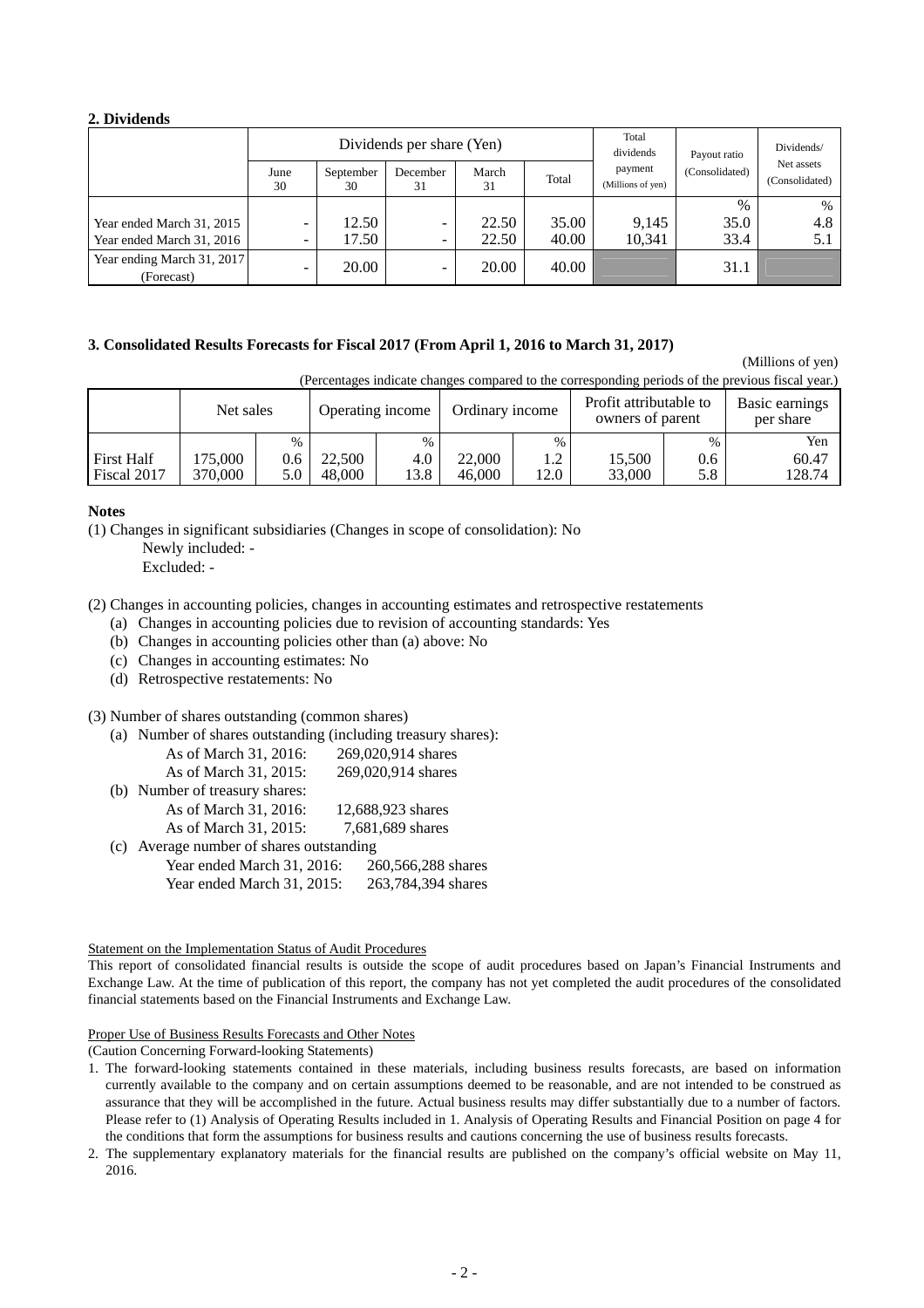#### **2. Dividends**

|                                          | Dividends per share (Yen) |                 |                |             |       | Total<br>dividends           | Payout ratio   | Dividends/                   |
|------------------------------------------|---------------------------|-----------------|----------------|-------------|-------|------------------------------|----------------|------------------------------|
|                                          | June<br>30                | September<br>30 | December<br>31 | March<br>31 | Total | payment<br>(Millions of yen) | (Consolidated) | Net assets<br>(Consolidated) |
|                                          |                           |                 |                |             |       |                              | $\%$           | $\%$                         |
| Year ended March 31, 2015                | -                         | 12.50           | -              | 22.50       | 35.00 | 9,145                        | 35.0           | 4.8                          |
| Year ended March 31, 2016                | -                         | 17.50           | -              | 22.50       | 40.00 | 10,341                       | 33.4           | 5.1                          |
| Year ending March 31, 2017<br>(Forecast) | -                         | 20.00           | -              | 20.00       | 40.00 |                              | 31.1           |                              |

#### **3. Consolidated Results Forecasts for Fiscal 2017 (From April 1, 2016 to March 31, 2017)**

(Millions of yen)

(Percentages indicate changes compared to the corresponding periods of the previous fiscal year.)

|                                  | Net sales          |            |                  | Operating income |                  | Ordinary income             |                  | Profit attributable to<br>owners of parent |                 |
|----------------------------------|--------------------|------------|------------------|------------------|------------------|-----------------------------|------------------|--------------------------------------------|-----------------|
|                                  |                    | $\%$       |                  | $\%$             |                  | $\%$                        |                  | $\%$                                       | Yen             |
| <b>First Half</b><br>Fiscal 2017 | 175.000<br>370,000 | 0.6<br>5.0 | 22,500<br>48,000 | 4.0<br>13.8      | 22,000<br>46,000 | ാ<br>$\overline{1}$<br>12.0 | 15,500<br>33,000 | 0.6<br>5.8                                 | 60.47<br>128.74 |
|                                  |                    |            |                  |                  |                  |                             |                  |                                            |                 |

#### **Notes**

(1) Changes in significant subsidiaries (Changes in scope of consolidation): No

Newly included: -

Excluded: -

(2) Changes in accounting policies, changes in accounting estimates and retrospective restatements

(a) Changes in accounting policies due to revision of accounting standards: Yes

- (b) Changes in accounting policies other than (a) above: No
- (c) Changes in accounting estimates: No
- (d) Retrospective restatements: No

#### (3) Number of shares outstanding (common shares)

- (a) Number of shares outstanding (including treasury shares): As of March 31, 2016: 269,020,914 shares As of March 31, 2015: 269,020,914 shares (b) Number of treasury shares: As of March 31, 2016: 12,688,923 shares As of March 31, 2015: 7,681,689 shares (c) Average number of shares outstanding
- Year ended March 31, 2016: 260, 266, 288 shares Year ended March 31, 2015: 263,784,394 shares

#### Statement on the Implementation Status of Audit Procedures

This report of consolidated financial results is outside the scope of audit procedures based on Japan's Financial Instruments and Exchange Law. At the time of publication of this report, the company has not yet completed the audit procedures of the consolidated financial statements based on the Financial Instruments and Exchange Law.

#### Proper Use of Business Results Forecasts and Other Notes (Caution Concerning Forward-looking Statements)

- 1. The forward-looking statements contained in these materials, including business results forecasts, are based on information currently available to the company and on certain assumptions deemed to be reasonable, and are not intended to be construed as assurance that they will be accomplished in the future. Actual business results may differ substantially due to a number of factors. Please refer to (1) Analysis of Operating Results included in 1. Analysis of Operating Results and Financial Position on page 4 for the conditions that form the assumptions for business results and cautions concerning the use of business results forecasts.
- 2. The supplementary explanatory materials for the financial results are published on the company's official website on May 11, 2016.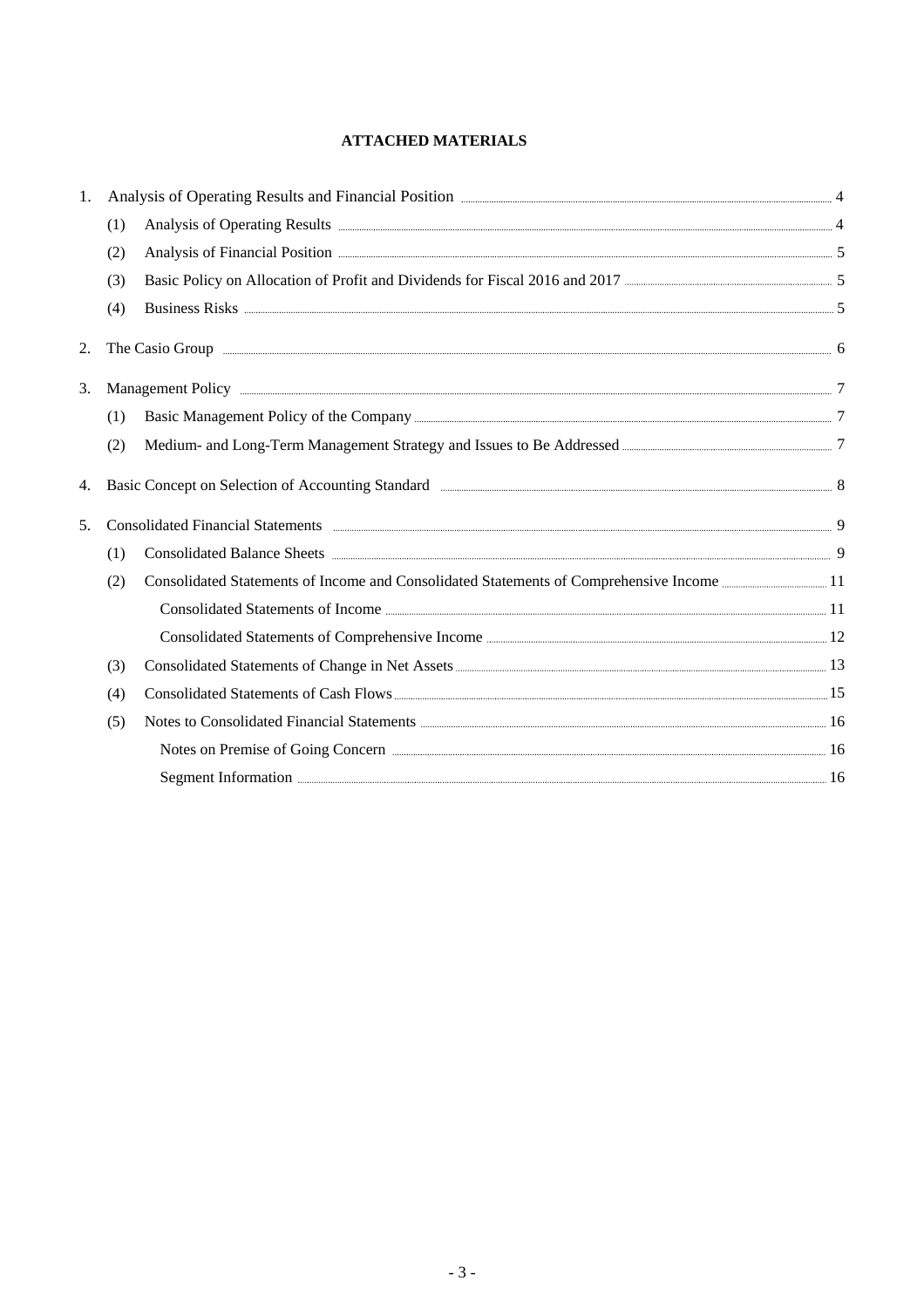## **ATTACHED MATERIALS**

| 1. |     | Analysis of Operating Results and Financial Position <b>Election</b> 2016 12:00 Analysis of Operating Results and Financial Position 2016 12:00 Analysis of Operating Results and Financial Position 2016 12:00 Analysis 2016  |  |
|----|-----|--------------------------------------------------------------------------------------------------------------------------------------------------------------------------------------------------------------------------------|--|
|    | (1) | Analysis of Operating Results <b>Example 2018</b> 4                                                                                                                                                                            |  |
|    | (2) | Analysis of Financial Position <b>Exercise Analysis</b> 5                                                                                                                                                                      |  |
|    | (3) | Basic Policy on Allocation of Profit and Dividends for Fiscal 2016 and 2017 <b>Called Act 2016</b> and 2017                                                                                                                    |  |
|    | (4) | Business Risks 55000 States and the set of the set of the set of the set of the set of the set of the set of the set of the set of the set of the set of the set of the set of the set of the set of the set of the set of the |  |
| 2. |     |                                                                                                                                                                                                                                |  |
| 3. |     | Management Policy 2014. The contract of the contract of the contract of the contract of the contract of the contract of the contract of the contract of the contract of the contract of the contract of the contract of the co |  |
|    | (1) |                                                                                                                                                                                                                                |  |
|    | (2) |                                                                                                                                                                                                                                |  |
| 4. |     | Basic Concept on Selection of Accounting Standard <b>Example 2018</b> 8                                                                                                                                                        |  |
| 5. |     | Consolidated Financial Statements <b>Exercise Statements</b> 9                                                                                                                                                                 |  |
|    | (1) | Consolidated Balance Sheets 2000 and 2000 and 2000 and 2000 and 2000 and 2000 and 2000 and 2000 and 2000 and 2000 and 2000 and 2000 and 2000 and 2000 and 2000 and 2000 and 2000 and 2000 and 2000 and 2000 and 2000 and 2000  |  |
|    | (2) |                                                                                                                                                                                                                                |  |
|    |     |                                                                                                                                                                                                                                |  |
|    |     |                                                                                                                                                                                                                                |  |
|    | (3) |                                                                                                                                                                                                                                |  |
|    | (4) |                                                                                                                                                                                                                                |  |
|    | (5) | Notes to Consolidated Financial Statements 2000 and 2000 and 2000 and 2000 and 2000 and 2000 and 2000 and 2000 and 2000 and 2000 and 2000 and 2000 and 2000 and 2000 and 2000 and 2000 and 2000 and 2000 and 2000 and 2000 and |  |
|    |     | Notes on Premise of Going Concern <u>Communications</u> and the set of Going Concern 2016                                                                                                                                      |  |
|    |     | Segment Information 2016                                                                                                                                                                                                       |  |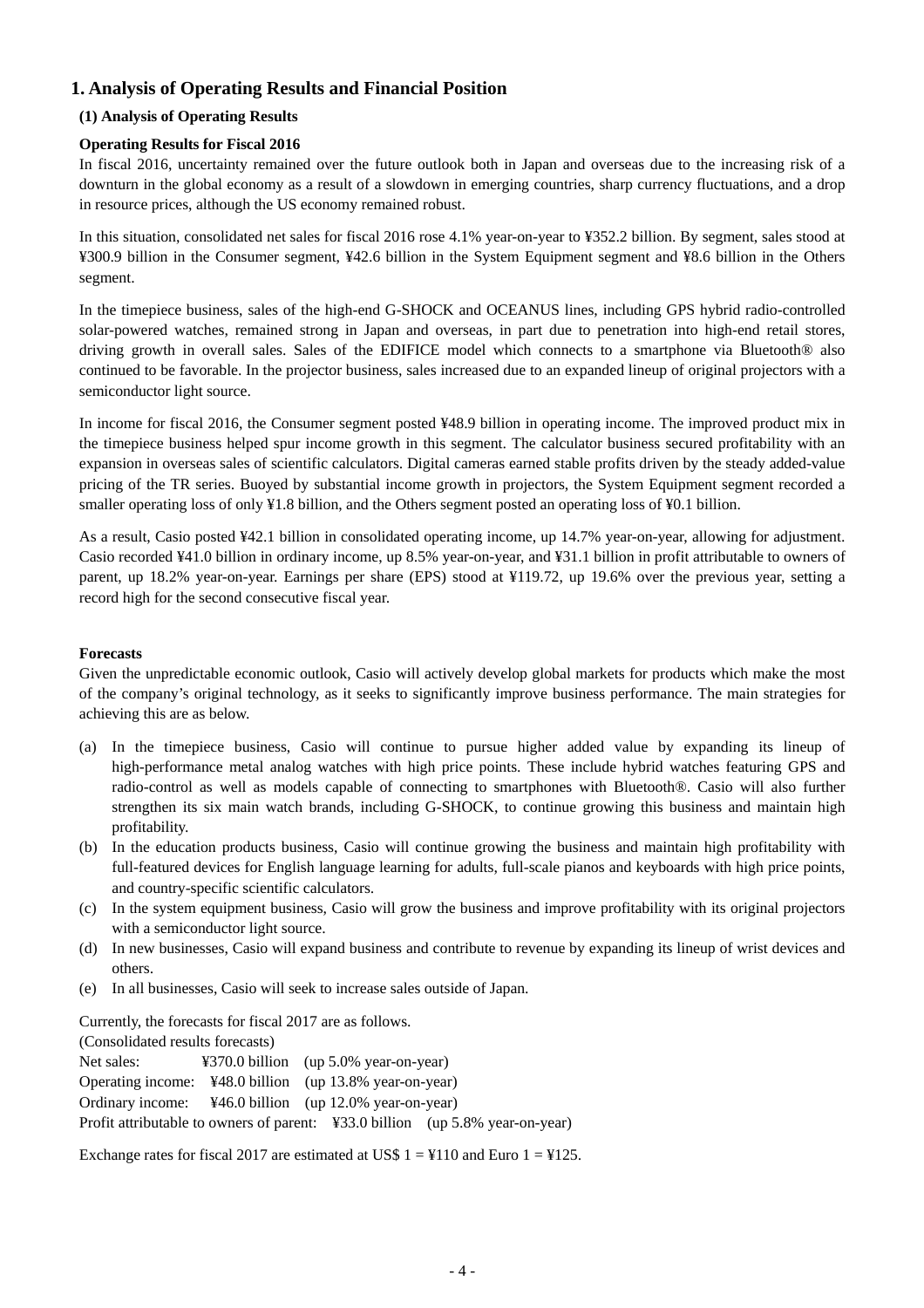## **1. Analysis of Operating Results and Financial Position**

## **(1) Analysis of Operating Results**

## **Operating Results for Fiscal 2016**

In fiscal 2016, uncertainty remained over the future outlook both in Japan and overseas due to the increasing risk of a downturn in the global economy as a result of a slowdown in emerging countries, sharp currency fluctuations, and a drop in resource prices, although the US economy remained robust.

In this situation, consolidated net sales for fiscal 2016 rose 4.1% year-on-year to ¥352.2 billion. By segment, sales stood at ¥300.9 billion in the Consumer segment, ¥42.6 billion in the System Equipment segment and ¥8.6 billion in the Others segment.

In the timepiece business, sales of the high-end G-SHOCK and OCEANUS lines, including GPS hybrid radio-controlled solar-powered watches, remained strong in Japan and overseas, in part due to penetration into high-end retail stores, driving growth in overall sales. Sales of the EDIFICE model which connects to a smartphone via Bluetooth® also continued to be favorable. In the projector business, sales increased due to an expanded lineup of original projectors with a semiconductor light source.

In income for fiscal 2016, the Consumer segment posted ¥48.9 billion in operating income. The improved product mix in the timepiece business helped spur income growth in this segment. The calculator business secured profitability with an expansion in overseas sales of scientific calculators. Digital cameras earned stable profits driven by the steady added-value pricing of the TR series. Buoyed by substantial income growth in projectors, the System Equipment segment recorded a smaller operating loss of only ¥1.8 billion, and the Others segment posted an operating loss of ¥0.1 billion.

As a result, Casio posted ¥42.1 billion in consolidated operating income, up 14.7% year-on-year, allowing for adjustment. Casio recorded ¥41.0 billion in ordinary income, up 8.5% year-on-year, and ¥31.1 billion in profit attributable to owners of parent, up 18.2% year-on-year. Earnings per share (EPS) stood at ¥119.72, up 19.6% over the previous year, setting a record high for the second consecutive fiscal year.

### **Forecasts**

Given the unpredictable economic outlook, Casio will actively develop global markets for products which make the most of the company's original technology, as it seeks to significantly improve business performance. The main strategies for achieving this are as below.

- (a) In the timepiece business, Casio will continue to pursue higher added value by expanding its lineup of high-performance metal analog watches with high price points. These include hybrid watches featuring GPS and radio-control as well as models capable of connecting to smartphones with Bluetooth®. Casio will also further strengthen its six main watch brands, including G-SHOCK, to continue growing this business and maintain high profitability.
- (b) In the education products business, Casio will continue growing the business and maintain high profitability with full-featured devices for English language learning for adults, full-scale pianos and keyboards with high price points, and country-specific scientific calculators.
- (c) In the system equipment business, Casio will grow the business and improve profitability with its original projectors with a semiconductor light source.
- (d) In new businesses, Casio will expand business and contribute to revenue by expanding its lineup of wrist devices and others.
- (e) In all businesses, Casio will seek to increase sales outside of Japan.

Currently, the forecasts for fiscal 2017 are as follows.

(Consolidated results forecasts)

Net sales: ¥370.0 billion (up 5.0% year-on-year) Operating income: ¥48.0 billion (up 13.8% year-on-year) Ordinary income: ¥46.0 billion (up 12.0% year-on-year) Profit attributable to owners of parent: ¥33.0 billion (up 5.8% year-on-year)

Exchange rates for fiscal 2017 are estimated at US\$  $1 = 4110$  and Euro  $1 = 4125$ .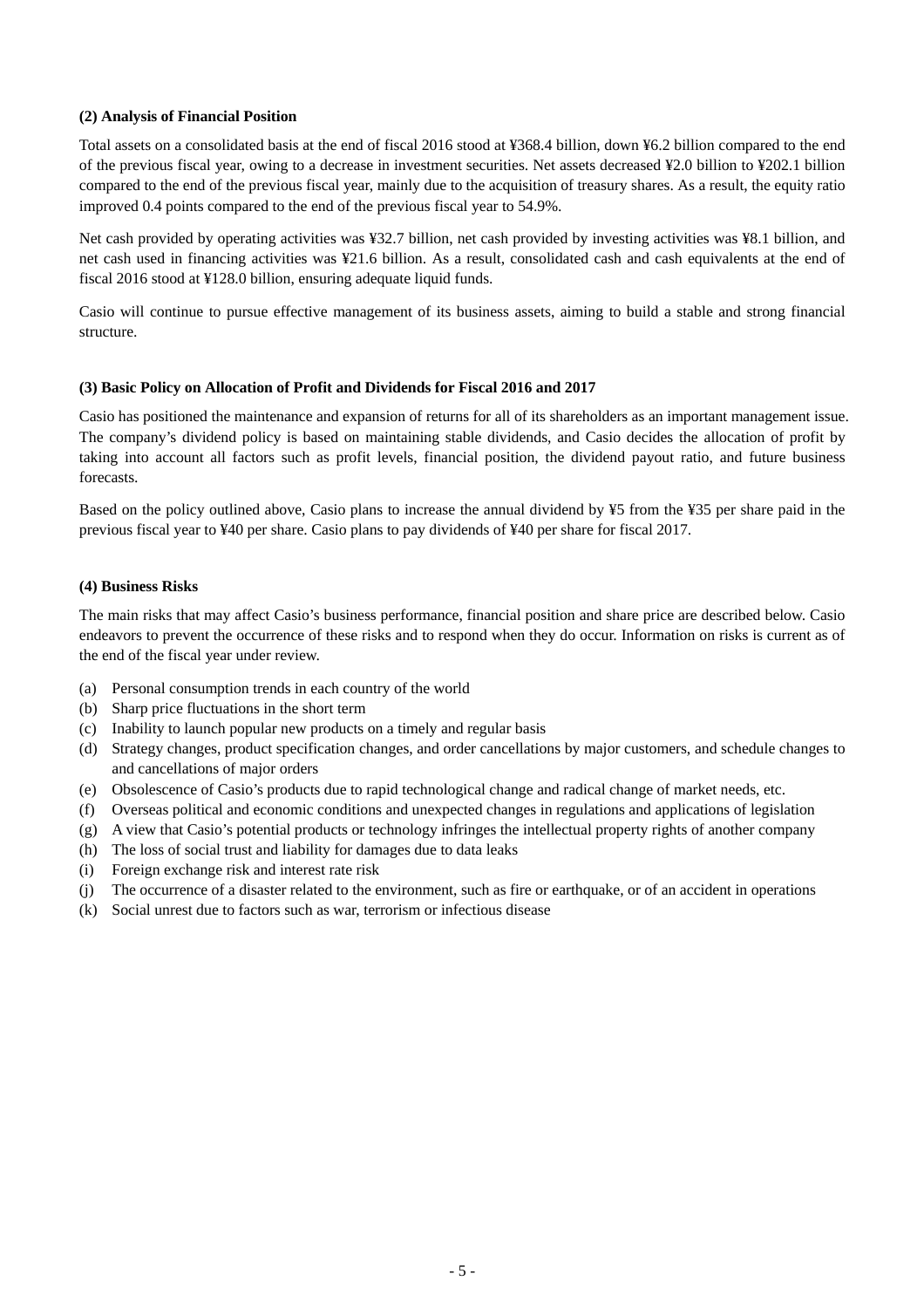#### **(2) Analysis of Financial Position**

Total assets on a consolidated basis at the end of fiscal 2016 stood at ¥368.4 billion, down ¥6.2 billion compared to the end of the previous fiscal year, owing to a decrease in investment securities. Net assets decreased ¥2.0 billion to ¥202.1 billion compared to the end of the previous fiscal year, mainly due to the acquisition of treasury shares. As a result, the equity ratio improved 0.4 points compared to the end of the previous fiscal year to 54.9%.

Net cash provided by operating activities was ¥32.7 billion, net cash provided by investing activities was ¥8.1 billion, and net cash used in financing activities was ¥21.6 billion. As a result, consolidated cash and cash equivalents at the end of fiscal 2016 stood at ¥128.0 billion, ensuring adequate liquid funds.

Casio will continue to pursue effective management of its business assets, aiming to build a stable and strong financial structure.

#### **(3) Basic Policy on Allocation of Profit and Dividends for Fiscal 2016 and 2017**

Casio has positioned the maintenance and expansion of returns for all of its shareholders as an important management issue. The company's dividend policy is based on maintaining stable dividends, and Casio decides the allocation of profit by taking into account all factors such as profit levels, financial position, the dividend payout ratio, and future business forecasts.

Based on the policy outlined above, Casio plans to increase the annual dividend by ¥5 from the ¥35 per share paid in the previous fiscal year to ¥40 per share. Casio plans to pay dividends of ¥40 per share for fiscal 2017.

#### **(4) Business Risks**

The main risks that may affect Casio's business performance, financial position and share price are described below. Casio endeavors to prevent the occurrence of these risks and to respond when they do occur. Information on risks is current as of the end of the fiscal year under review.

- (a) Personal consumption trends in each country of the world
- (b) Sharp price fluctuations in the short term
- (c) Inability to launch popular new products on a timely and regular basis
- (d) Strategy changes, product specification changes, and order cancellations by major customers, and schedule changes to and cancellations of major orders
- (e) Obsolescence of Casio's products due to rapid technological change and radical change of market needs, etc.
- (f) Overseas political and economic conditions and unexpected changes in regulations and applications of legislation
- (g) A view that Casio's potential products or technology infringes the intellectual property rights of another company
- (h) The loss of social trust and liability for damages due to data leaks
- (i) Foreign exchange risk and interest rate risk
- (j) The occurrence of a disaster related to the environment, such as fire or earthquake, or of an accident in operations
- (k) Social unrest due to factors such as war, terrorism or infectious disease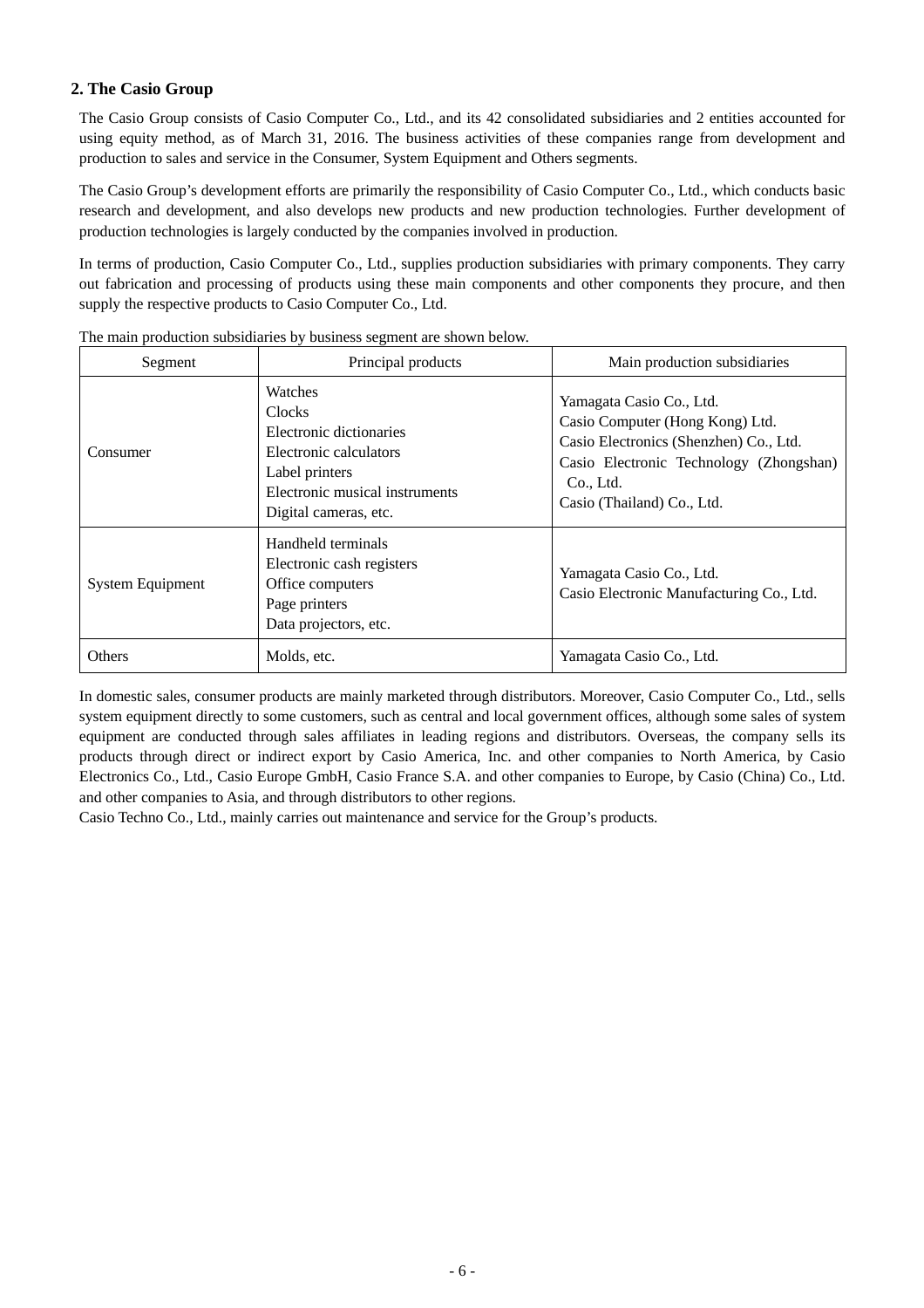## **2. The Casio Group**

The Casio Group consists of Casio Computer Co., Ltd., and its 42 consolidated subsidiaries and 2 entities accounted for using equity method, as of March 31, 2016. The business activities of these companies range from development and production to sales and service in the Consumer, System Equipment and Others segments.

The Casio Group's development efforts are primarily the responsibility of Casio Computer Co., Ltd., which conducts basic research and development, and also develops new products and new production technologies. Further development of production technologies is largely conducted by the companies involved in production.

In terms of production, Casio Computer Co., Ltd., supplies production subsidiaries with primary components. They carry out fabrication and processing of products using these main components and other components they procure, and then supply the respective products to Casio Computer Co., Ltd.

| Segment                 | Principal products                                                                                                                                         | Main production subsidiaries                                                                                                                                                                |
|-------------------------|------------------------------------------------------------------------------------------------------------------------------------------------------------|---------------------------------------------------------------------------------------------------------------------------------------------------------------------------------------------|
| Consumer                | Watches<br><b>Clocks</b><br>Electronic dictionaries<br>Electronic calculators<br>Label printers<br>Electronic musical instruments<br>Digital cameras, etc. | Yamagata Casio Co., Ltd.<br>Casio Computer (Hong Kong) Ltd.<br>Casio Electronics (Shenzhen) Co., Ltd.<br>Casio Electronic Technology (Zhongshan)<br>Co., Ltd.<br>Casio (Thailand) Co., Ltd. |
| <b>System Equipment</b> | Handheld terminals<br>Electronic cash registers<br>Office computers<br>Page printers<br>Data projectors, etc.                                              | Yamagata Casio Co., Ltd.<br>Casio Electronic Manufacturing Co., Ltd.                                                                                                                        |
| <b>Others</b>           | Molds, etc.                                                                                                                                                | Yamagata Casio Co., Ltd.                                                                                                                                                                    |

The main production subsidiaries by business segment are shown below.

In domestic sales, consumer products are mainly marketed through distributors. Moreover, Casio Computer Co., Ltd., sells system equipment directly to some customers, such as central and local government offices, although some sales of system equipment are conducted through sales affiliates in leading regions and distributors. Overseas, the company sells its products through direct or indirect export by Casio America, Inc. and other companies to North America, by Casio Electronics Co., Ltd., Casio Europe GmbH, Casio France S.A. and other companies to Europe, by Casio (China) Co., Ltd. and other companies to Asia, and through distributors to other regions.

Casio Techno Co., Ltd., mainly carries out maintenance and service for the Group's products.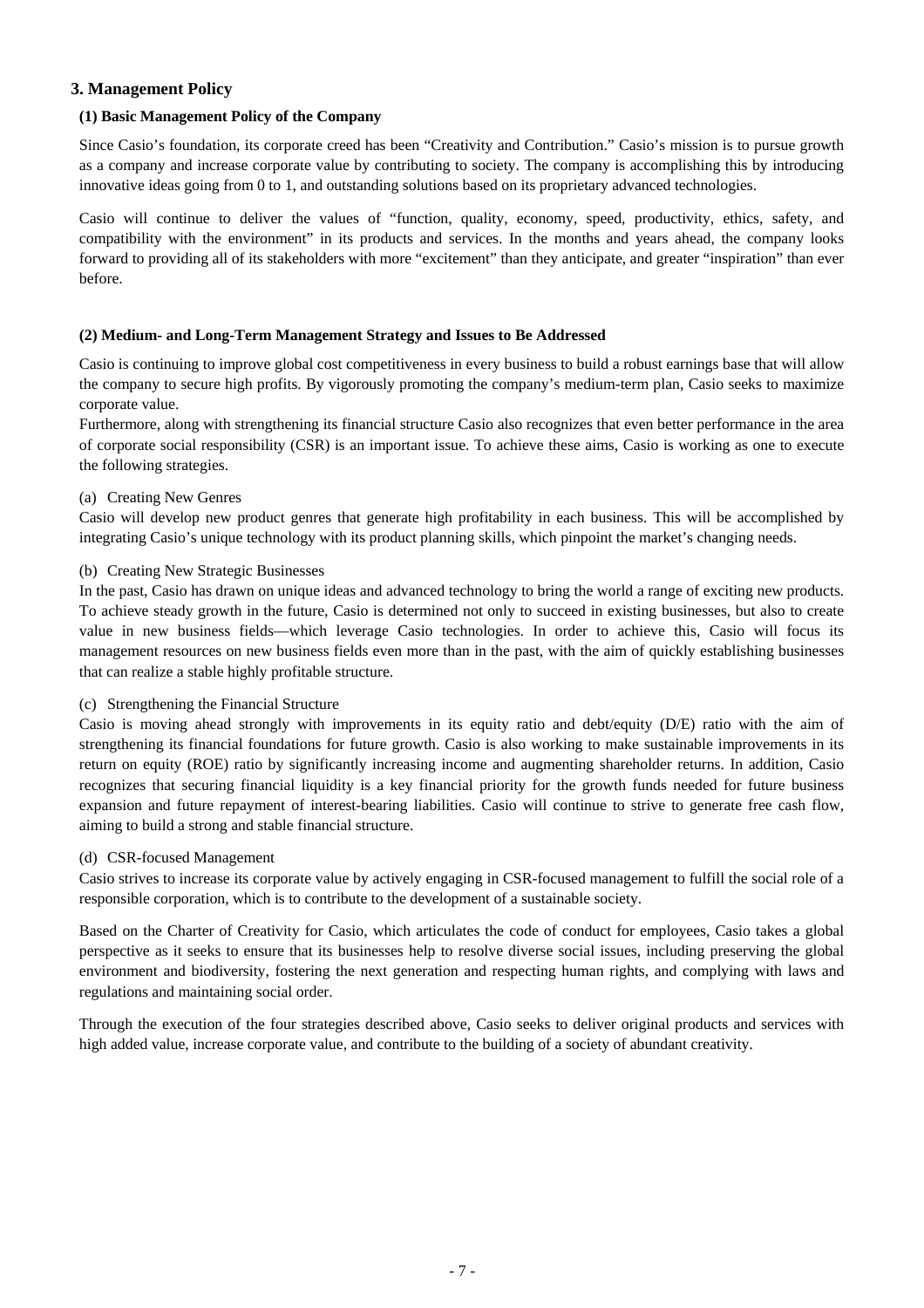### **3. Management Policy**

### **(1) Basic Management Policy of the Company**

Since Casio's foundation, its corporate creed has been "Creativity and Contribution." Casio's mission is to pursue growth as a company and increase corporate value by contributing to society. The company is accomplishing this by introducing innovative ideas going from 0 to 1, and outstanding solutions based on its proprietary advanced technologies.

Casio will continue to deliver the values of "function, quality, economy, speed, productivity, ethics, safety, and compatibility with the environment" in its products and services. In the months and years ahead, the company looks forward to providing all of its stakeholders with more "excitement" than they anticipate, and greater "inspiration" than ever before.

### **(2) Medium- and Long-Term Management Strategy and Issues to Be Addressed**

Casio is continuing to improve global cost competitiveness in every business to build a robust earnings base that will allow the company to secure high profits. By vigorously promoting the company's medium-term plan, Casio seeks to maximize corporate value.

Furthermore, along with strengthening its financial structure Casio also recognizes that even better performance in the area of corporate social responsibility (CSR) is an important issue. To achieve these aims, Casio is working as one to execute the following strategies.

### (a) Creating New Genres

Casio will develop new product genres that generate high profitability in each business. This will be accomplished by integrating Casio's unique technology with its product planning skills, which pinpoint the market's changing needs.

### (b) Creating New Strategic Businesses

In the past, Casio has drawn on unique ideas and advanced technology to bring the world a range of exciting new products. To achieve steady growth in the future, Casio is determined not only to succeed in existing businesses, but also to create value in new business fields—which leverage Casio technologies. In order to achieve this, Casio will focus its management resources on new business fields even more than in the past, with the aim of quickly establishing businesses that can realize a stable highly profitable structure.

#### (c) Strengthening the Financial Structure

Casio is moving ahead strongly with improvements in its equity ratio and debt/equity (D/E) ratio with the aim of strengthening its financial foundations for future growth. Casio is also working to make sustainable improvements in its return on equity (ROE) ratio by significantly increasing income and augmenting shareholder returns. In addition, Casio recognizes that securing financial liquidity is a key financial priority for the growth funds needed for future business expansion and future repayment of interest-bearing liabilities. Casio will continue to strive to generate free cash flow, aiming to build a strong and stable financial structure.

#### (d) CSR-focused Management

Casio strives to increase its corporate value by actively engaging in CSR-focused management to fulfill the social role of a responsible corporation, which is to contribute to the development of a sustainable society.

Based on the Charter of Creativity for Casio, which articulates the code of conduct for employees, Casio takes a global perspective as it seeks to ensure that its businesses help to resolve diverse social issues, including preserving the global environment and biodiversity, fostering the next generation and respecting human rights, and complying with laws and regulations and maintaining social order.

Through the execution of the four strategies described above, Casio seeks to deliver original products and services with high added value, increase corporate value, and contribute to the building of a society of abundant creativity.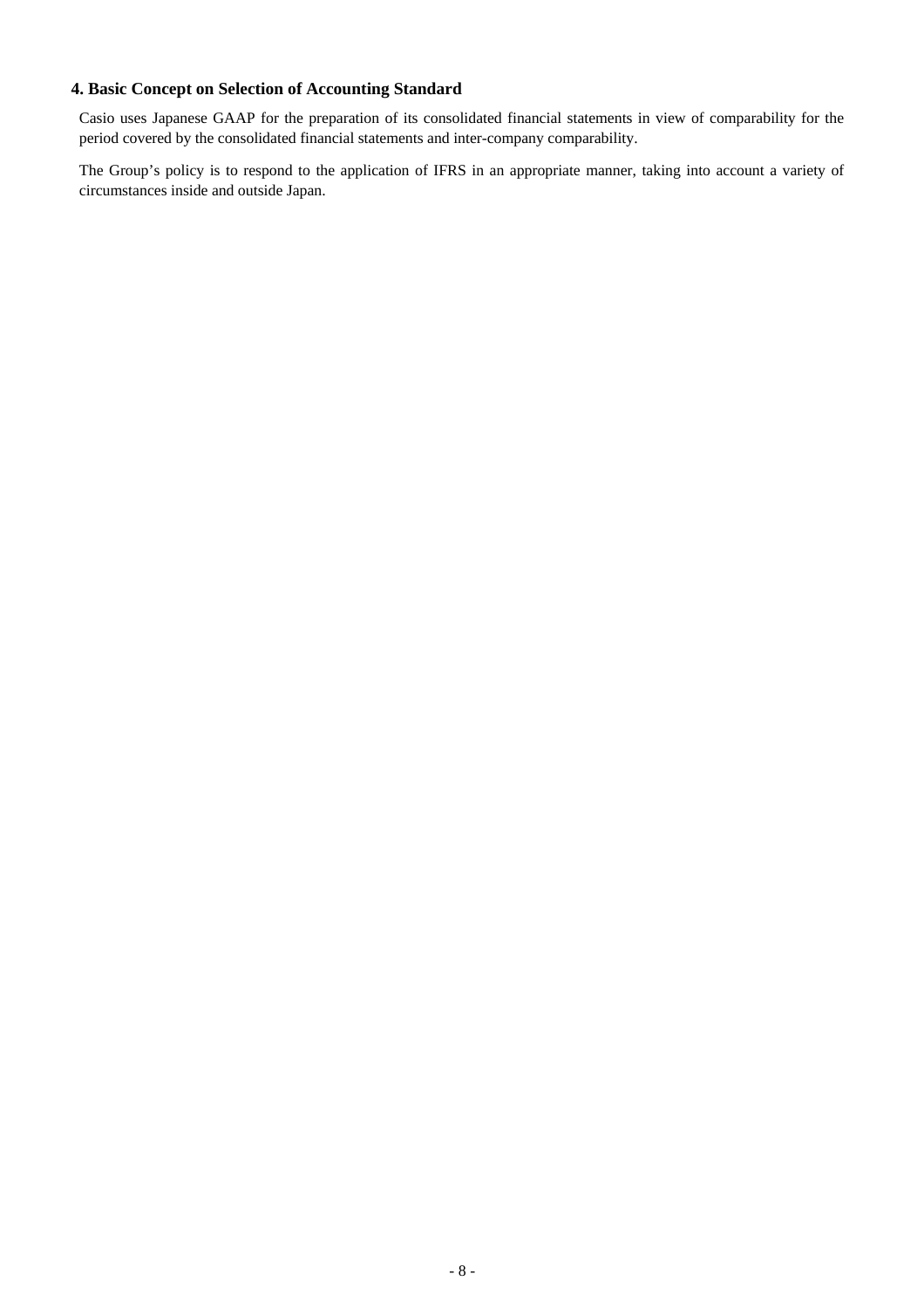## **4. Basic Concept on Selection of Accounting Standard**

Casio uses Japanese GAAP for the preparation of its consolidated financial statements in view of comparability for the period covered by the consolidated financial statements and inter-company comparability.

The Group's policy is to respond to the application of IFRS in an appropriate manner, taking into account a variety of circumstances inside and outside Japan.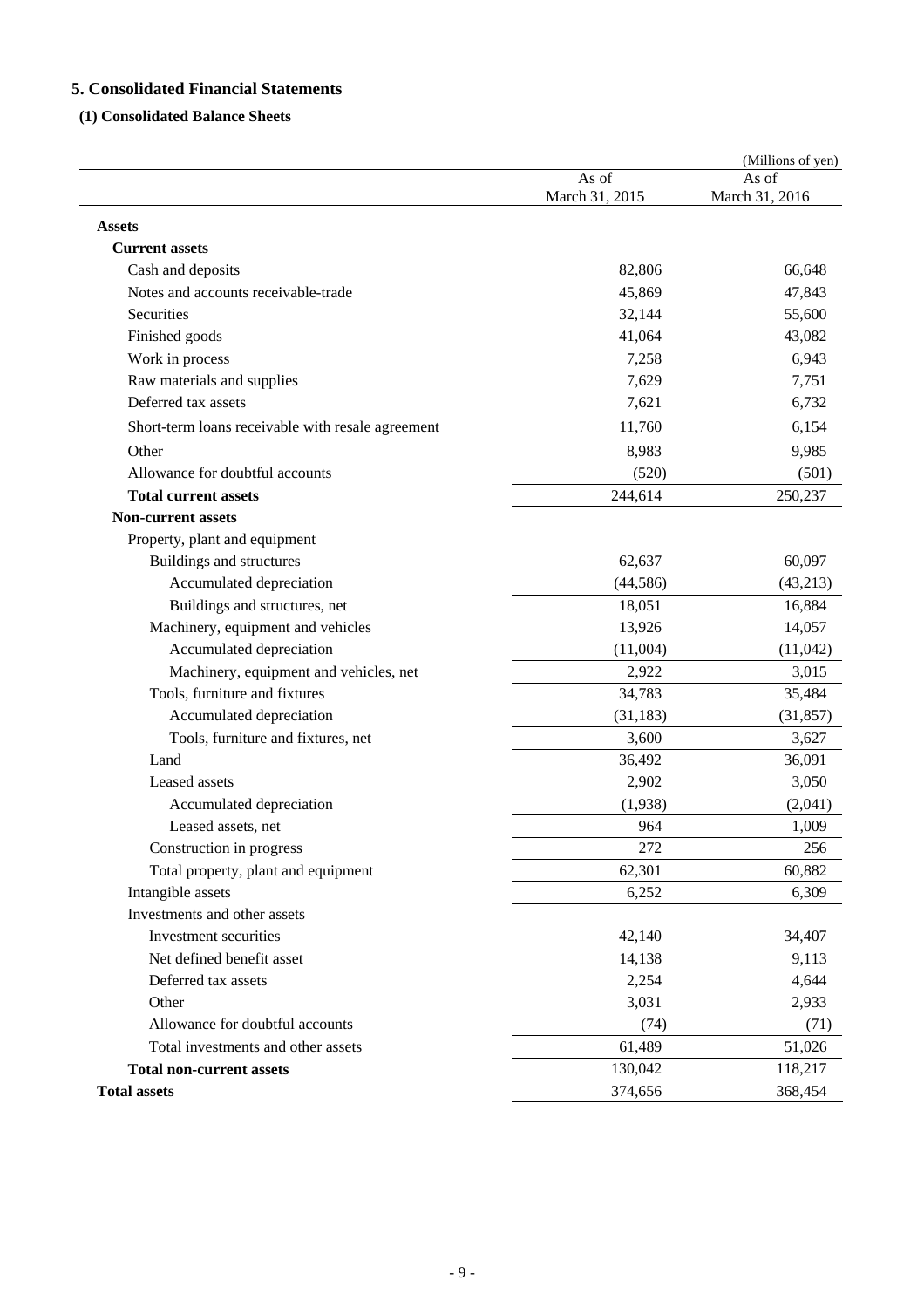## **5. Consolidated Financial Statements**

## **(1) Consolidated Balance Sheets**

|                                                   |                         | (Millions of yen)       |
|---------------------------------------------------|-------------------------|-------------------------|
|                                                   | As of<br>March 31, 2015 | As of<br>March 31, 2016 |
| <b>Assets</b>                                     |                         |                         |
| <b>Current assets</b>                             |                         |                         |
| Cash and deposits                                 | 82,806                  | 66,648                  |
| Notes and accounts receivable-trade               | 45,869                  | 47,843                  |
| Securities                                        | 32,144                  | 55,600                  |
| Finished goods                                    | 41,064                  | 43,082                  |
| Work in process                                   | 7,258                   | 6,943                   |
| Raw materials and supplies                        | 7,629                   | 7,751                   |
| Deferred tax assets                               | 7,621                   | 6,732                   |
| Short-term loans receivable with resale agreement | 11,760                  | 6,154                   |
| Other                                             | 8,983                   | 9,985                   |
| Allowance for doubtful accounts                   | (520)                   | (501)                   |
| <b>Total current assets</b>                       | 244,614                 | 250,237                 |
| <b>Non-current assets</b>                         |                         |                         |
| Property, plant and equipment                     |                         |                         |
| Buildings and structures                          | 62,637                  | 60,097                  |
| Accumulated depreciation                          | (44, 586)               | (43,213)                |
| Buildings and structures, net                     | 18,051                  | 16,884                  |
| Machinery, equipment and vehicles                 | 13,926                  | 14,057                  |
| Accumulated depreciation                          | (11,004)                | (11,042)                |
| Machinery, equipment and vehicles, net            | 2,922                   | 3,015                   |
| Tools, furniture and fixtures                     | 34,783                  | 35,484                  |
| Accumulated depreciation                          | (31, 183)               | (31, 857)               |
| Tools, furniture and fixtures, net                | 3,600                   | 3,627                   |
| Land                                              | 36,492                  | 36,091                  |
| Leased assets                                     | 2,902                   | 3,050                   |
| Accumulated depreciation                          | (1,938)                 | (2,041)                 |
| Leased assets, net                                | 964                     | 1,009                   |
| Construction in progress                          | 272                     | 256                     |
| Total property, plant and equipment               | 62,301                  | 60,882                  |
| Intangible assets                                 | 6,252                   | 6,309                   |
| Investments and other assets                      |                         |                         |
| Investment securities                             | 42,140                  | 34,407                  |
| Net defined benefit asset                         | 14,138                  | 9,113                   |
| Deferred tax assets                               | 2,254                   | 4,644                   |
| Other                                             | 3,031                   | 2,933                   |
| Allowance for doubtful accounts                   | (74)                    | (71)                    |
| Total investments and other assets                | 61,489                  | 51,026                  |
| <b>Total non-current assets</b>                   | 130,042                 | 118,217                 |
| <b>Total assets</b>                               | 374,656                 | 368,454                 |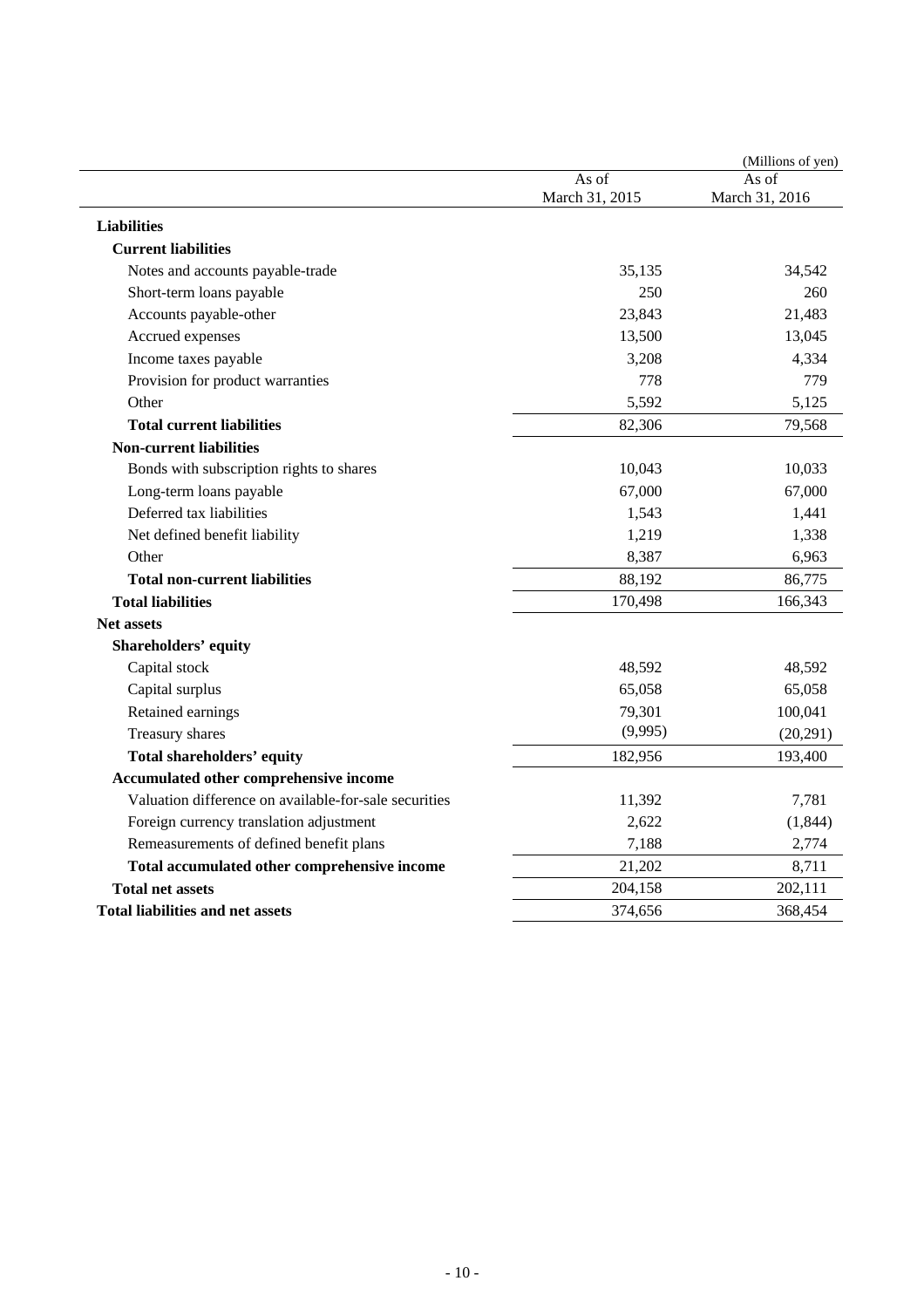|                                                       |                | (Millions of yen) |
|-------------------------------------------------------|----------------|-------------------|
|                                                       | As of          | As of             |
|                                                       | March 31, 2015 | March 31, 2016    |
| <b>Liabilities</b>                                    |                |                   |
| <b>Current liabilities</b>                            |                |                   |
| Notes and accounts payable-trade                      | 35,135         | 34,542            |
| Short-term loans payable                              | 250            | 260               |
| Accounts payable-other                                | 23,843         | 21,483            |
| Accrued expenses                                      | 13,500         | 13,045            |
| Income taxes payable                                  | 3,208          | 4,334             |
| Provision for product warranties                      | 778            | 779               |
| Other                                                 | 5,592          | 5,125             |
| <b>Total current liabilities</b>                      | 82,306         | 79,568            |
| <b>Non-current liabilities</b>                        |                |                   |
| Bonds with subscription rights to shares              | 10,043         | 10,033            |
| Long-term loans payable                               | 67,000         | 67,000            |
| Deferred tax liabilities                              | 1,543          | 1,441             |
| Net defined benefit liability                         | 1,219          | 1,338             |
| Other                                                 | 8,387          | 6,963             |
| <b>Total non-current liabilities</b>                  | 88,192         | 86,775            |
| <b>Total liabilities</b>                              | 170,498        | 166,343           |
| Net assets                                            |                |                   |
| <b>Shareholders' equity</b>                           |                |                   |
| Capital stock                                         | 48,592         | 48,592            |
| Capital surplus                                       | 65,058         | 65,058            |
| Retained earnings                                     | 79,301         | 100,041           |
| Treasury shares                                       | (9,995)        | (20,291)          |
| <b>Total shareholders' equity</b>                     | 182,956        | 193,400           |
| Accumulated other comprehensive income                |                |                   |
| Valuation difference on available-for-sale securities | 11,392         | 7,781             |
| Foreign currency translation adjustment               | 2,622          | (1, 844)          |
| Remeasurements of defined benefit plans               | 7,188          | 2,774             |
| Total accumulated other comprehensive income          | 21,202         | 8,711             |
| <b>Total net assets</b>                               | 204,158        | 202,111           |
| Total liabilities and net assets                      | 374,656        | 368,454           |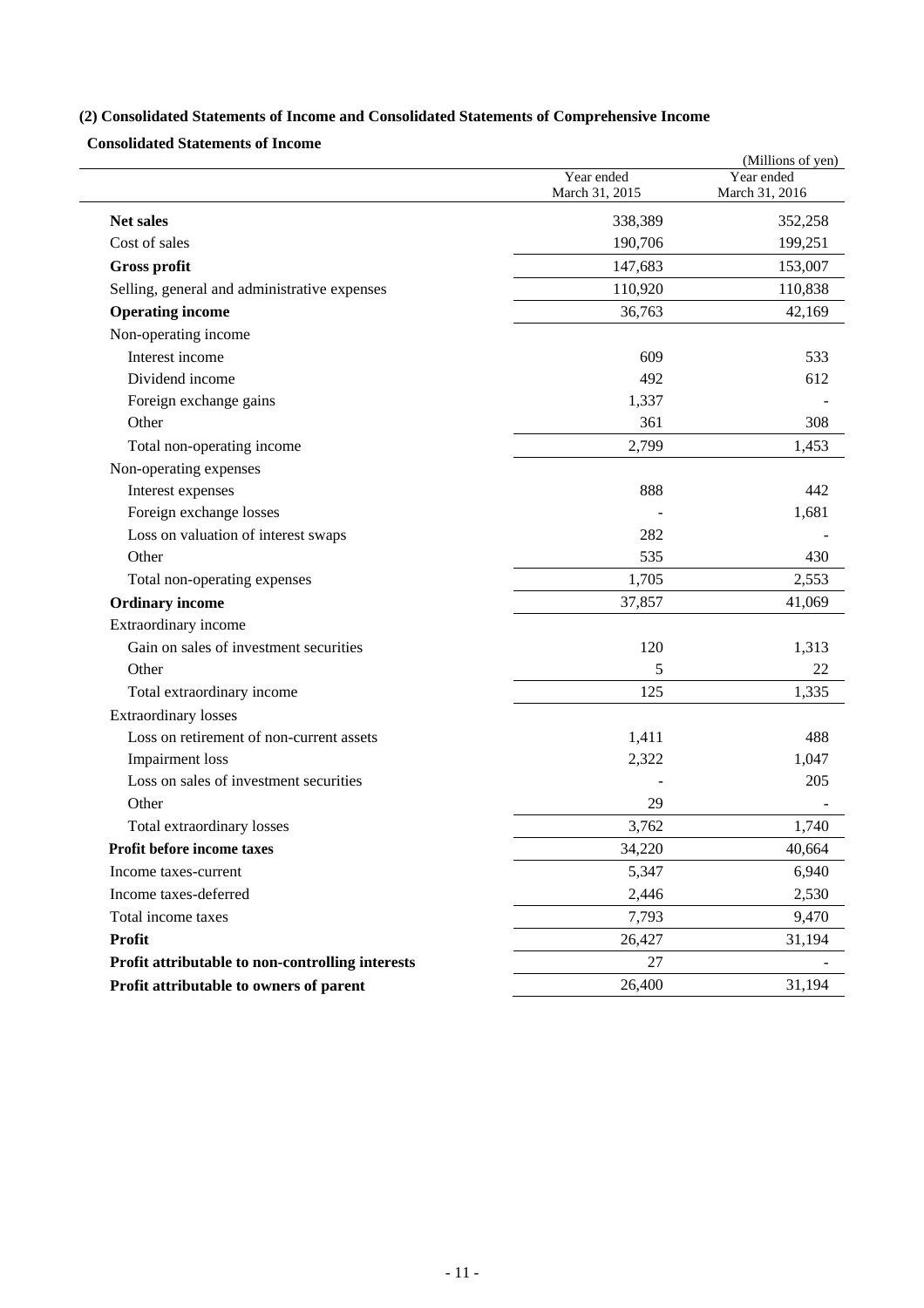# **(2) Consolidated Statements of Income and Consolidated Statements of Comprehensive Income**

**Consolidated Statements of Income** 

|                                                  |                              | (Millions of yen)            |
|--------------------------------------------------|------------------------------|------------------------------|
|                                                  | Year ended<br>March 31, 2015 | Year ended<br>March 31, 2016 |
| <b>Net sales</b>                                 | 338,389                      | 352,258                      |
| Cost of sales                                    | 190,706                      | 199,251                      |
| Gross profit                                     | 147,683                      | 153,007                      |
| Selling, general and administrative expenses     | 110,920                      | 110,838                      |
| <b>Operating income</b>                          | 36,763                       | 42,169                       |
| Non-operating income                             |                              |                              |
| Interest income                                  | 609                          | 533                          |
| Dividend income                                  | 492                          | 612                          |
| Foreign exchange gains                           | 1,337                        |                              |
| Other                                            | 361                          | 308                          |
| Total non-operating income                       | 2,799                        | 1,453                        |
| Non-operating expenses                           |                              |                              |
| Interest expenses                                | 888                          | 442                          |
| Foreign exchange losses                          |                              | 1,681                        |
| Loss on valuation of interest swaps              | 282                          |                              |
| Other                                            | 535                          | 430                          |
| Total non-operating expenses                     | 1,705                        | 2,553                        |
| <b>Ordinary income</b>                           | 37,857                       | 41,069                       |
| Extraordinary income                             |                              |                              |
| Gain on sales of investment securities           | 120                          | 1,313                        |
| Other                                            | 5                            | 22                           |
| Total extraordinary income                       | 125                          | 1,335                        |
| <b>Extraordinary losses</b>                      |                              |                              |
| Loss on retirement of non-current assets         | 1,411                        | 488                          |
| <b>Impairment</b> loss                           | 2,322                        | 1,047                        |
| Loss on sales of investment securities           |                              | 205                          |
| Other                                            | 29                           |                              |
| Total extraordinary losses                       | 3,762                        | 1,740                        |
| Profit before income taxes                       | 34,220                       | 40,664                       |
| Income taxes-current                             | 5,347                        | 6,940                        |
| Income taxes-deferred                            | 2,446                        | 2,530                        |
| Total income taxes                               | 7,793                        | 9,470                        |
| <b>Profit</b>                                    | 26,427                       | 31,194                       |
| Profit attributable to non-controlling interests | 27                           |                              |
| Profit attributable to owners of parent          | 26,400                       | 31,194                       |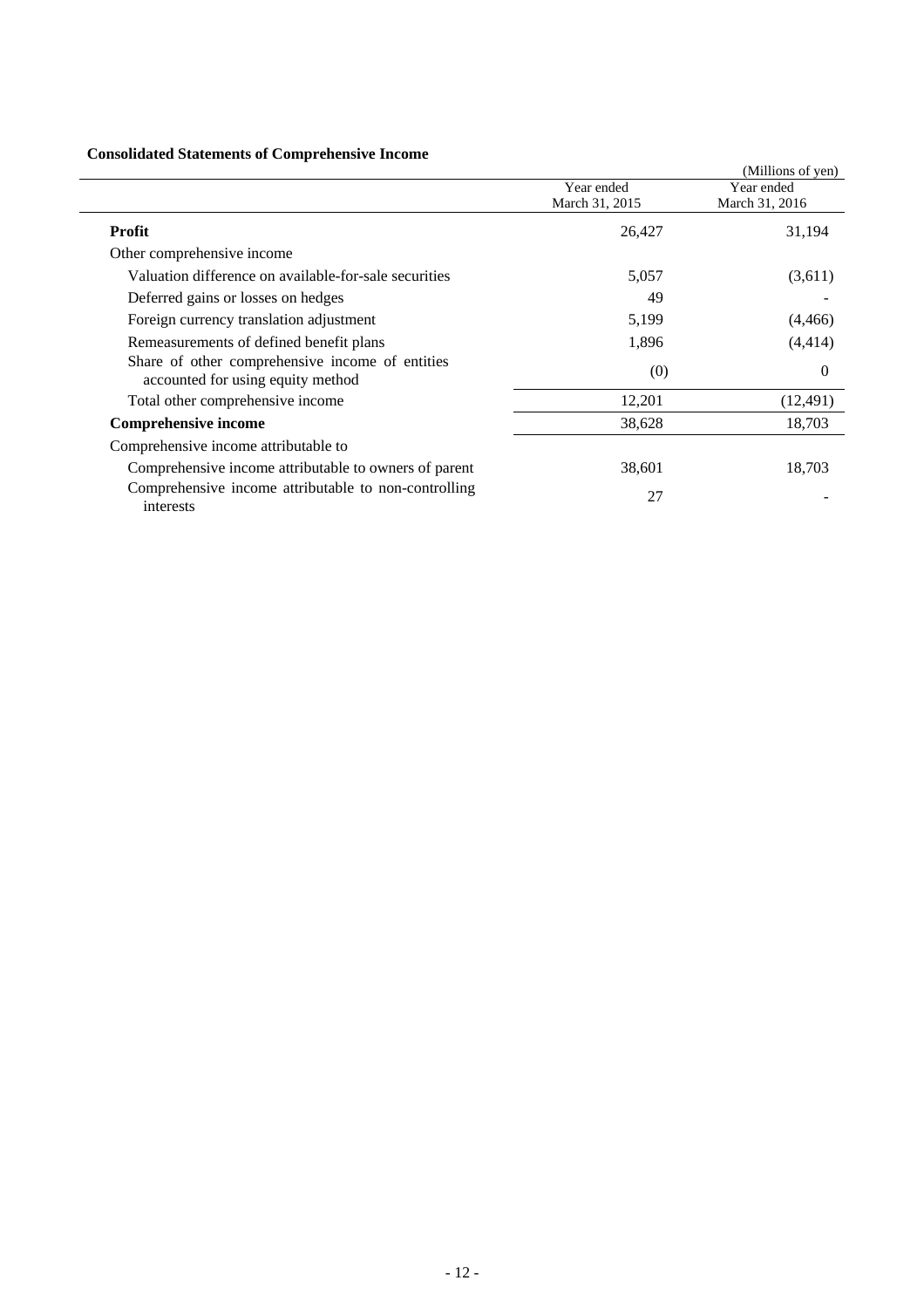## **Consolidated Statements of Comprehensive Income**

|                                                                                      |                              | (Millions of yen)            |
|--------------------------------------------------------------------------------------|------------------------------|------------------------------|
|                                                                                      | Year ended<br>March 31, 2015 | Year ended<br>March 31, 2016 |
| <b>Profit</b>                                                                        | 26,427                       | 31,194                       |
| Other comprehensive income                                                           |                              |                              |
| Valuation difference on available-for-sale securities                                | 5,057                        | (3,611)                      |
| Deferred gains or losses on hedges                                                   | 49                           |                              |
| Foreign currency translation adjustment                                              | 5,199                        | (4, 466)                     |
| Remeasurements of defined benefit plans                                              | 1,896                        | (4, 414)                     |
| Share of other comprehensive income of entities<br>accounted for using equity method | (0)                          | $\Omega$                     |
| Total other comprehensive income                                                     | 12,201                       | (12, 491)                    |
| <b>Comprehensive income</b>                                                          | 38,628                       | 18,703                       |
| Comprehensive income attributable to                                                 |                              |                              |
| Comprehensive income attributable to owners of parent                                | 38,601                       | 18,703                       |
| Comprehensive income attributable to non-controlling<br>interests                    | 27                           |                              |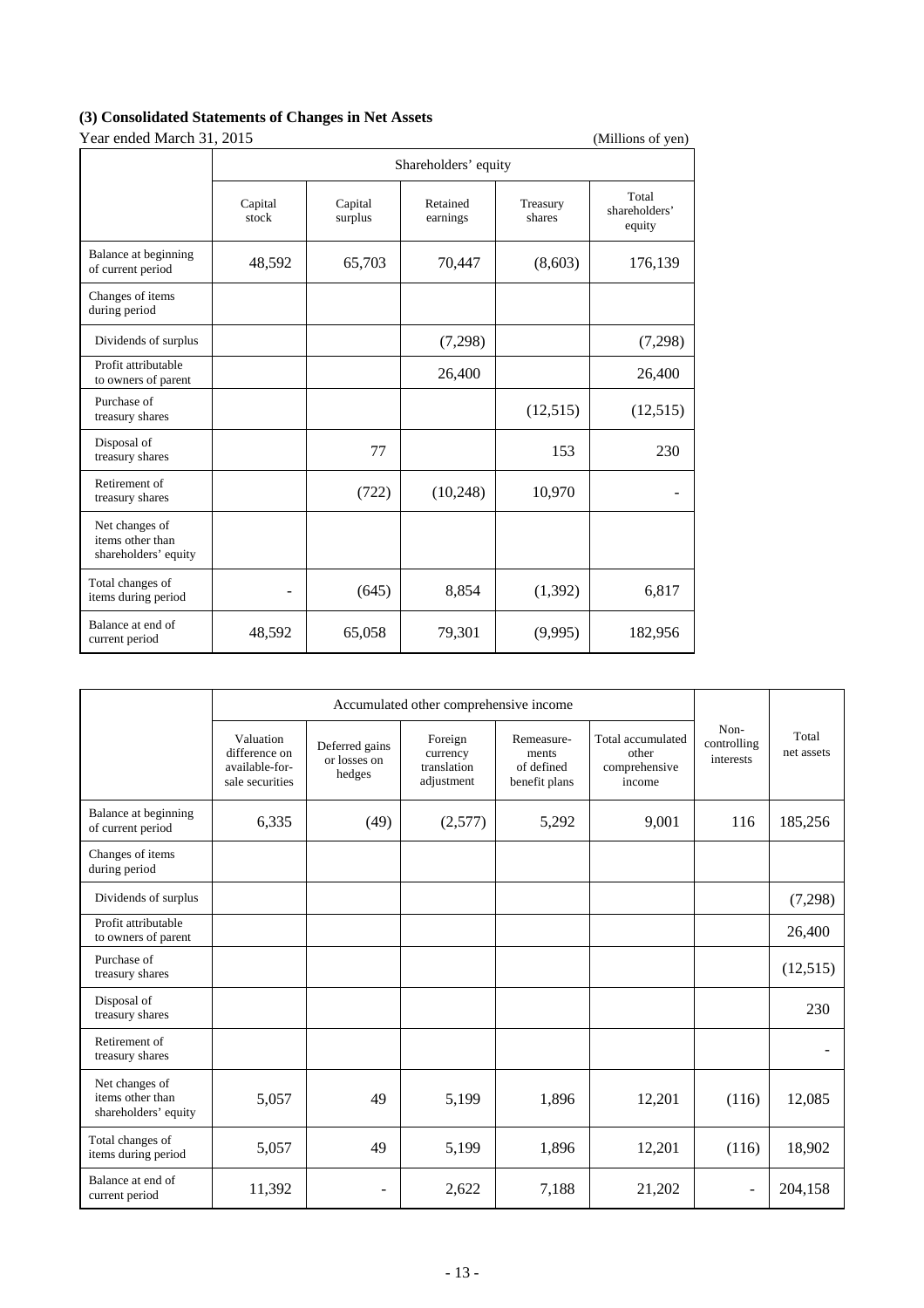# **(3) Consolidated Statements of Changes in Net Assets**

Year ended March 31, 2015 (Millions of yen)

| <b>Teal church March 91, 2019</b><br>(TATHIOIIS OF YEIL)   |                      |                    |                      |                    |                                  |  |  |
|------------------------------------------------------------|----------------------|--------------------|----------------------|--------------------|----------------------------------|--|--|
|                                                            | Shareholders' equity |                    |                      |                    |                                  |  |  |
|                                                            | Capital<br>stock     | Capital<br>surplus | Retained<br>earnings | Treasury<br>shares | Total<br>shareholders'<br>equity |  |  |
| Balance at beginning<br>of current period                  | 48,592               | 65,703             | 70,447               | (8,603)            | 176,139                          |  |  |
| Changes of items<br>during period                          |                      |                    |                      |                    |                                  |  |  |
| Dividends of surplus                                       |                      |                    | (7,298)              |                    | (7,298)                          |  |  |
| Profit attributable<br>to owners of parent                 |                      |                    | 26,400               |                    | 26,400                           |  |  |
| Purchase of<br>treasury shares                             |                      |                    |                      | (12,515)           | (12,515)                         |  |  |
| Disposal of<br>treasury shares                             |                      | 77                 |                      | 153                | 230                              |  |  |
| Retirement of<br>treasury shares                           |                      | (722)              | (10,248)             | 10,970             |                                  |  |  |
| Net changes of<br>items other than<br>shareholders' equity |                      |                    |                      |                    |                                  |  |  |
| Total changes of<br>items during period                    |                      | (645)              | 8,854                | (1,392)            | 6,817                            |  |  |
| Balance at end of<br>current period                        | 48,592               | 65,058             | 79,301               | (9,995)            | 182,956                          |  |  |

|                                                            | Accumulated other comprehensive income                          |                                          |                                                  |                                                    |                                                       |                                  |                     |
|------------------------------------------------------------|-----------------------------------------------------------------|------------------------------------------|--------------------------------------------------|----------------------------------------------------|-------------------------------------------------------|----------------------------------|---------------------|
|                                                            | Valuation<br>difference on<br>available-for-<br>sale securities | Deferred gains<br>or losses on<br>hedges | Foreign<br>currency<br>translation<br>adjustment | Remeasure-<br>ments<br>of defined<br>benefit plans | Total accumulated<br>other<br>comprehensive<br>income | Non-<br>controlling<br>interests | Total<br>net assets |
| Balance at beginning<br>of current period                  | 6,335                                                           | (49)                                     | (2,577)                                          | 5,292                                              | 9.001                                                 | 116                              | 185,256             |
| Changes of items<br>during period                          |                                                                 |                                          |                                                  |                                                    |                                                       |                                  |                     |
| Dividends of surplus                                       |                                                                 |                                          |                                                  |                                                    |                                                       |                                  | (7,298)             |
| Profit attributable<br>to owners of parent                 |                                                                 |                                          |                                                  |                                                    |                                                       |                                  | 26,400              |
| Purchase of<br>treasury shares                             |                                                                 |                                          |                                                  |                                                    |                                                       |                                  | (12, 515)           |
| Disposal of<br>treasury shares                             |                                                                 |                                          |                                                  |                                                    |                                                       |                                  | 230                 |
| Retirement of<br>treasury shares                           |                                                                 |                                          |                                                  |                                                    |                                                       |                                  |                     |
| Net changes of<br>items other than<br>shareholders' equity | 5,057                                                           | 49                                       | 5,199                                            | 1,896                                              | 12,201                                                | (116)                            | 12,085              |
| Total changes of<br>items during period                    | 5,057                                                           | 49                                       | 5,199                                            | 1,896                                              | 12,201                                                | (116)                            | 18,902              |
| Balance at end of<br>current period                        | 11,392                                                          |                                          | 2,622                                            | 7,188                                              | 21,202                                                |                                  | 204,158             |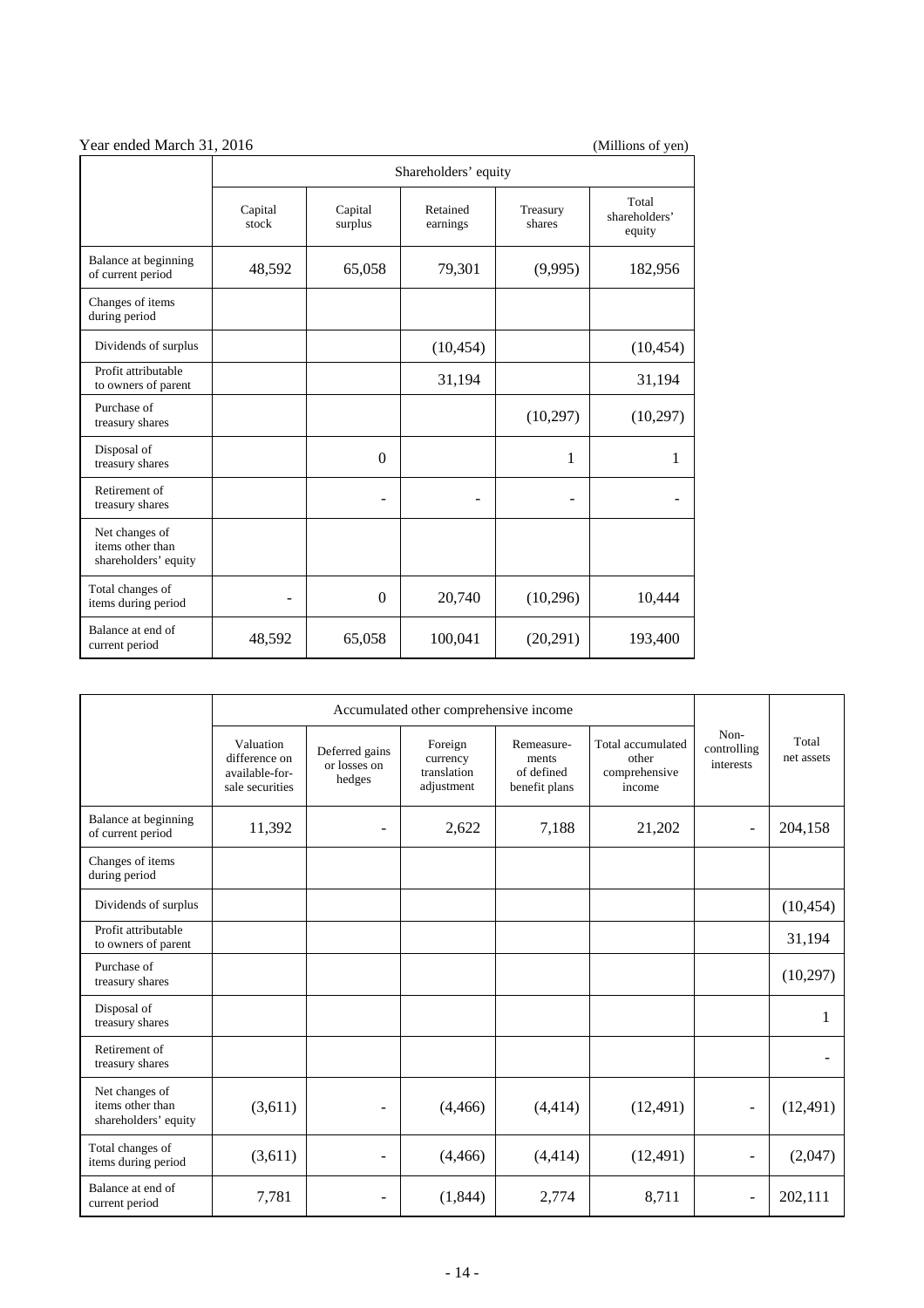| Year ended March 31, 2016<br>(Millions of yen)             |                      |                                                                  |           |                                  |           |  |
|------------------------------------------------------------|----------------------|------------------------------------------------------------------|-----------|----------------------------------|-----------|--|
|                                                            | Shareholders' equity |                                                                  |           |                                  |           |  |
|                                                            | Capital<br>stock     | Retained<br>Capital<br>Treasury<br>surplus<br>earnings<br>shares |           | Total<br>shareholders'<br>equity |           |  |
| Balance at beginning<br>of current period                  | 48,592               | 65,058                                                           | 79,301    | (9,995)                          | 182,956   |  |
| Changes of items<br>during period                          |                      |                                                                  |           |                                  |           |  |
| Dividends of surplus                                       |                      |                                                                  | (10, 454) |                                  | (10, 454) |  |
| Profit attributable<br>to owners of parent                 |                      |                                                                  | 31,194    |                                  | 31,194    |  |
| Purchase of<br>treasury shares                             |                      |                                                                  |           | (10,297)                         | (10,297)  |  |
| Disposal of<br>treasury shares                             |                      | $\theta$                                                         |           | 1                                | 1         |  |
| Retirement of<br>treasury shares                           |                      |                                                                  |           |                                  |           |  |
| Net changes of<br>items other than<br>shareholders' equity |                      |                                                                  |           |                                  |           |  |
| Total changes of<br>items during period                    |                      | $\theta$                                                         | 20,740    | (10,296)                         | 10,444    |  |
| Balance at end of<br>current period                        | 48,592               | 65,058                                                           | 100,041   | (20, 291)                        | 193,400   |  |

|                                                            | Accumulated other comprehensive income                          |                                          |                                                  |                                                    |                                                       |                                  |                     |
|------------------------------------------------------------|-----------------------------------------------------------------|------------------------------------------|--------------------------------------------------|----------------------------------------------------|-------------------------------------------------------|----------------------------------|---------------------|
|                                                            | Valuation<br>difference on<br>available-for-<br>sale securities | Deferred gains<br>or losses on<br>hedges | Foreign<br>currency<br>translation<br>adjustment | Remeasure-<br>ments<br>of defined<br>benefit plans | Total accumulated<br>other<br>comprehensive<br>income | Non-<br>controlling<br>interests | Total<br>net assets |
| Balance at beginning<br>of current period                  | 11,392                                                          | $\overline{\phantom{a}}$                 | 2,622                                            | 7,188                                              | 21,202                                                | $\blacksquare$                   | 204,158             |
| Changes of items<br>during period                          |                                                                 |                                          |                                                  |                                                    |                                                       |                                  |                     |
| Dividends of surplus                                       |                                                                 |                                          |                                                  |                                                    |                                                       |                                  | (10, 454)           |
| Profit attributable<br>to owners of parent                 |                                                                 |                                          |                                                  |                                                    |                                                       |                                  | 31,194              |
| Purchase of<br>treasury shares                             |                                                                 |                                          |                                                  |                                                    |                                                       |                                  | (10, 297)           |
| Disposal of<br>treasury shares                             |                                                                 |                                          |                                                  |                                                    |                                                       |                                  | 1                   |
| Retirement of<br>treasury shares                           |                                                                 |                                          |                                                  |                                                    |                                                       |                                  |                     |
| Net changes of<br>items other than<br>shareholders' equity | (3,611)                                                         | $\overline{\phantom{a}}$                 | (4, 466)                                         | (4, 414)                                           | (12, 491)                                             | $\overline{a}$                   | (12, 491)           |
| Total changes of<br>items during period                    | (3,611)                                                         | ۰                                        | (4, 466)                                         | (4, 414)                                           | (12, 491)                                             | $\qquad \qquad -$                | (2,047)             |
| Balance at end of<br>current period                        | 7,781                                                           |                                          | (1,844)                                          | 2,774                                              | 8,711                                                 |                                  | 202,111             |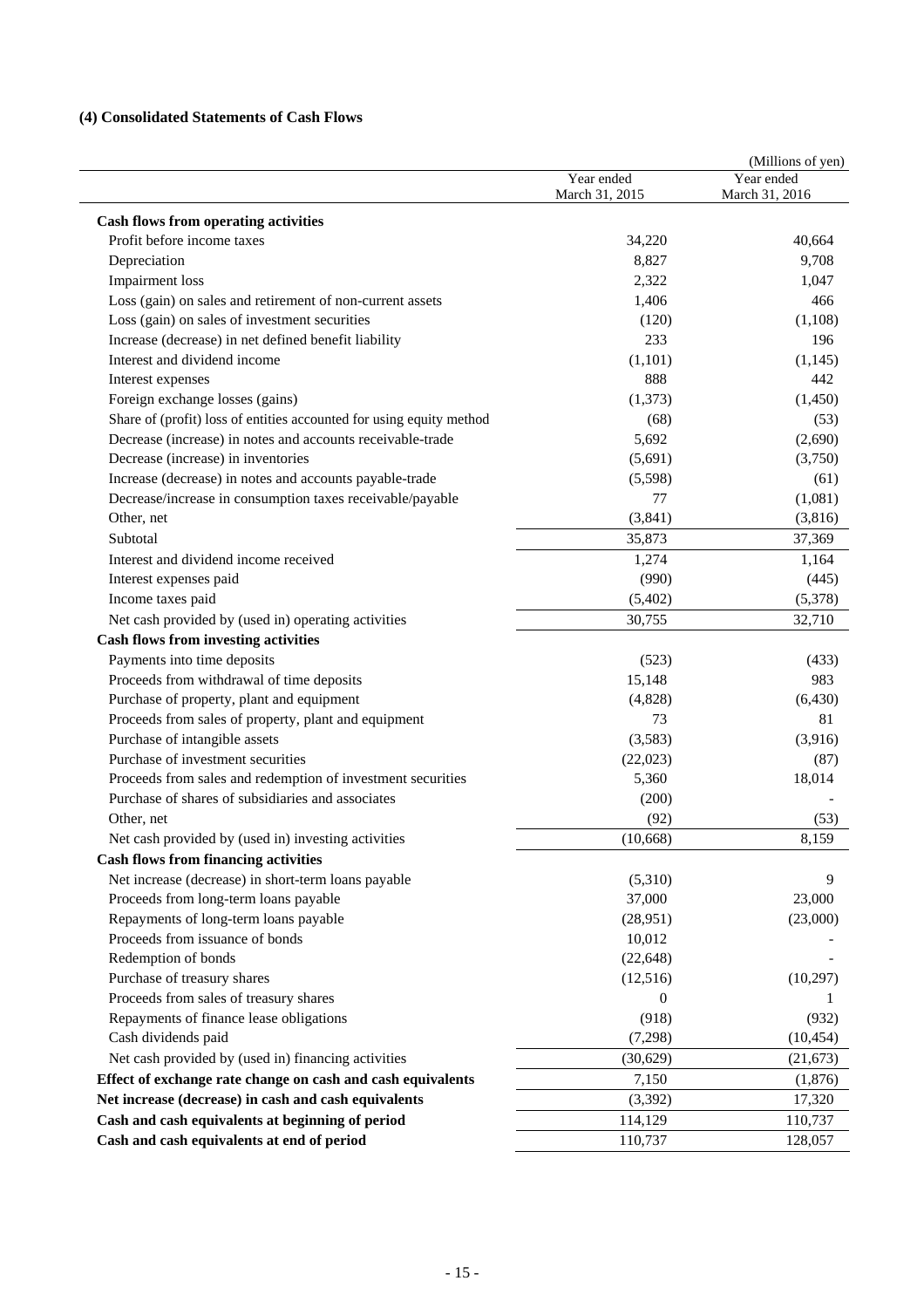## **(4) Consolidated Statements of Cash Flows**

|                                                                      |                              | (Millions of yen)            |
|----------------------------------------------------------------------|------------------------------|------------------------------|
|                                                                      | Year ended<br>March 31, 2015 | Year ended<br>March 31, 2016 |
|                                                                      |                              |                              |
| <b>Cash flows from operating activities</b>                          |                              |                              |
| Profit before income taxes                                           | 34,220                       | 40.664                       |
| Depreciation                                                         | 8,827                        | 9,708                        |
| <b>Impairment</b> loss                                               | 2,322                        | 1,047                        |
| Loss (gain) on sales and retirement of non-current assets            | 1,406                        | 466                          |
| Loss (gain) on sales of investment securities                        | (120)                        | (1,108)                      |
| Increase (decrease) in net defined benefit liability                 | 233                          | 196                          |
| Interest and dividend income                                         | (1,101)                      | (1,145)                      |
| Interest expenses                                                    | 888                          | 442                          |
| Foreign exchange losses (gains)                                      | (1,373)                      | (1,450)                      |
| Share of (profit) loss of entities accounted for using equity method | (68)                         | (53)                         |
| Decrease (increase) in notes and accounts receivable-trade           | 5,692                        | (2,690)                      |
| Decrease (increase) in inventories                                   | (5,691)                      | (3,750)                      |
| Increase (decrease) in notes and accounts payable-trade              | (5,598)                      | (61)                         |
| Decrease/increase in consumption taxes receivable/payable            | 77                           | (1,081)                      |
| Other, net                                                           | (3,841)                      | (3,816)                      |
| Subtotal                                                             | 35,873                       | 37,369                       |
| Interest and dividend income received                                | 1,274                        | 1,164                        |
| Interest expenses paid                                               | (990)                        | (445)                        |
| Income taxes paid                                                    | (5,402)                      | (5,378)                      |
| Net cash provided by (used in) operating activities                  | 30,755                       | 32,710                       |
| <b>Cash flows from investing activities</b>                          |                              |                              |
| Payments into time deposits                                          | (523)                        | (433)                        |
| Proceeds from withdrawal of time deposits                            | 15,148                       | 983                          |
| Purchase of property, plant and equipment                            | (4,828)                      | (6, 430)                     |
| Proceeds from sales of property, plant and equipment                 | 73                           | 81                           |
| Purchase of intangible assets                                        | (3,583)                      | (3,916)                      |
| Purchase of investment securities                                    | (22,023)                     | (87)                         |
| Proceeds from sales and redemption of investment securities          | 5,360                        | 18,014                       |
| Purchase of shares of subsidiaries and associates                    | (200)                        |                              |
| Other, net                                                           | (92)                         | (53)                         |
| Net cash provided by (used in) investing activities                  | (10,668)                     | 8,159                        |
| <b>Cash flows from financing activities</b>                          |                              |                              |
| Net increase (decrease) in short-term loans payable                  | (5,310)                      | 9                            |
| Proceeds from long-term loans payable                                | 37,000                       | 23,000                       |
| Repayments of long-term loans payable                                | (28,951)                     | (23,000)                     |
| Proceeds from issuance of bonds                                      | 10,012                       |                              |
| Redemption of bonds                                                  | (22, 648)                    |                              |
| Purchase of treasury shares                                          | (12,516)                     | (10,297)                     |
| Proceeds from sales of treasury shares                               | 0                            | 1                            |
| Repayments of finance lease obligations                              | (918)                        | (932)                        |
| Cash dividends paid                                                  | (7,298)                      | (10, 454)                    |
| Net cash provided by (used in) financing activities                  | (30,629)                     | (21, 673)                    |
| Effect of exchange rate change on cash and cash equivalents          | 7,150                        | (1, 876)                     |
| Net increase (decrease) in cash and cash equivalents                 | (3,392)                      | 17,320                       |
| Cash and cash equivalents at beginning of period                     | 114,129                      | 110,737                      |
| Cash and cash equivalents at end of period                           | 110,737                      | 128,057                      |
|                                                                      |                              |                              |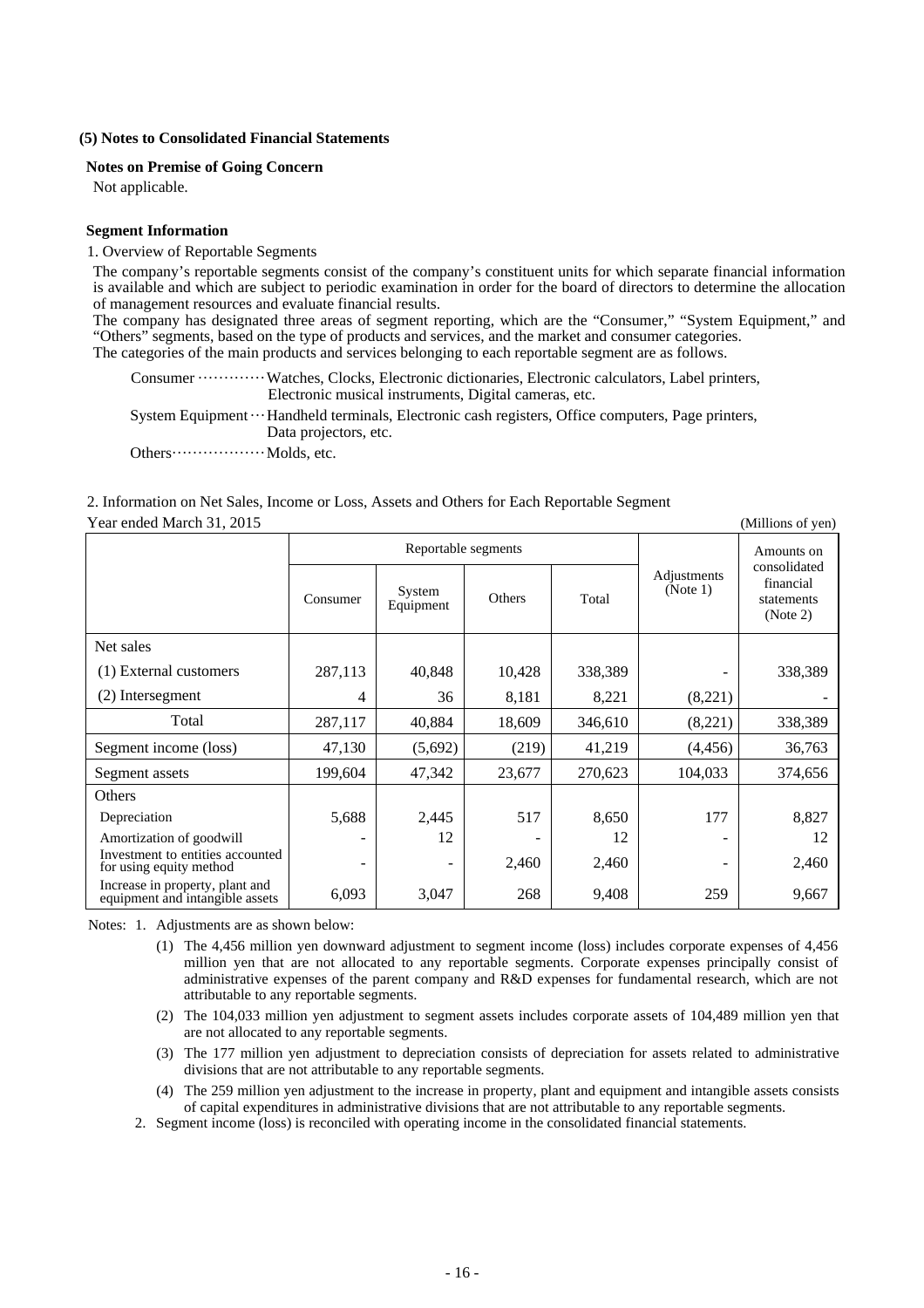#### **(5) Notes to Consolidated Financial Statements**

#### **Notes on Premise of Going Concern**

Not applicable.

#### **Segment Information**

#### 1. Overview of Reportable Segments

The company's reportable segments consist of the company's constituent units for which separate financial information is available and which are subject to periodic examination in order for the board of directors to determine the allocation of management resources and evaluate financial results.

The company has designated three areas of segment reporting, which are the "Consumer," "System Equipment," and "Others" segments, based on the type of products and services, and the market and consumer categories. The categories of the main products and services belonging to each reportable segment are as follows.

Consumer ·············Watches, Clocks, Electronic dictionaries, Electronic calculators, Label printers, Electronic musical instruments, Digital cameras, etc.

System Equipment ···Handheld terminals, Electronic cash registers, Office computers, Page printers, Data projectors, etc.

Others······················· Molds, etc.

#### 2. Information on Net Sales, Income or Loss, Assets and Others for Each Reportable Segment Year ended March 31, 2015 (Millions of yen)

Reportable segments  $\sim$  Consumer System System Department Others Total Adjustments (Note 1) Amounts on consolidated financial statements (Note 2) Net sales (1) External customers  $\begin{array}{|c|c|c|c|c|c|c|c|c|} \hline \end{array}$  287,113  $\begin{array}{|c|c|c|c|c|c|c|c|} \hline \end{array}$  40,848  $\begin{array}{|c|c|c|c|c|c|} \hline \end{array}$  338,389  $\begin{array}{|c|c|c|c|c|c|c|c|} \hline \end{array}$  338,389  $\begin{array}{|c|c|c|c|c|c|c|c|c|} \hline \end{array$ (2) Intersegment 4  $\vert$  36 8,181 8,221 (8,221) Total 287,117 40,884 18,609 346,610 (8,221) 338,389 Segment income (loss)  $\begin{vmatrix} 47,130 & (5,692) & (219) & 41,219 \end{vmatrix}$  (4,456) 36,763 Segment assets 199,604 47,342 23,677 270,623 104,033 374,656 **Others** Depreciation 177 | 5,688 | 2,445 | 517 | 8,650 | 177 | 8,827 Amortization of goodwill  $\begin{vmatrix} 1 & 12 & -1 \\ 1 & 12 & -1 \end{vmatrix}$  - 12 - 12 Investment to entities accounted for using equity method  $2,460$   $2,460$ Increase in property, plant and equipment and intangible assets 6,093 3,047 268 9,408 259 9,667

Notes: 1. Adjustments are as shown below:

- (1) The 4,456 million yen downward adjustment to segment income (loss) includes corporate expenses of 4,456 million yen that are not allocated to any reportable segments. Corporate expenses principally consist of administrative expenses of the parent company and R&D expenses for fundamental research, which are not attributable to any reportable segments.
- (2) The 104,033 million yen adjustment to segment assets includes corporate assets of 104,489 million yen that are not allocated to any reportable segments.
- (3) The 177 million yen adjustment to depreciation consists of depreciation for assets related to administrative divisions that are not attributable to any reportable segments.
- (4) The 259 million yen adjustment to the increase in property, plant and equipment and intangible assets consists of capital expenditures in administrative divisions that are not attributable to any reportable segments.
- 2. Segment income (loss) is reconciled with operating income in the consolidated financial statements.